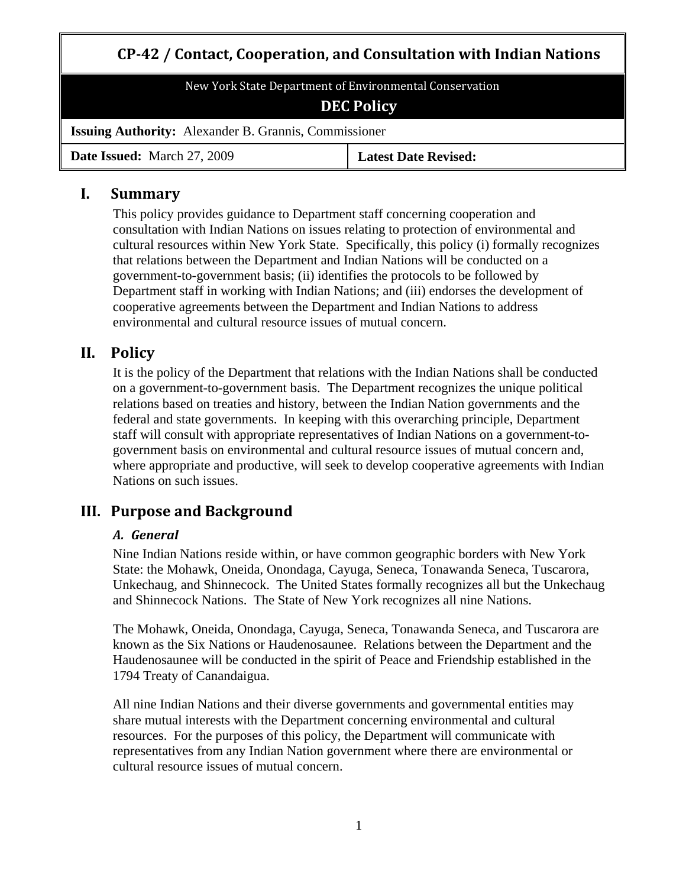# **CP42 / Contact, Cooperation, and Consultation with Indian Nations**

New York State Department of Environmental Conservation **DEC Policy**

**Issuing Authority:** Alexander B. Grannis, Commissioner

**Date Issued:** March 27, 2009 **Latest Date Revised:**

### **I. Summary**

This policy provides guidance to Department staff concerning cooperation and consultation with Indian Nations on issues relating to protection of environmental and cultural resources within New York State. Specifically, this policy (i) formally recognizes that relations between the Department and Indian Nations will be conducted on a government-to-government basis; (ii) identifies the protocols to be followed by Department staff in working with Indian Nations; and (iii) endorses the development of cooperative agreements between the Department and Indian Nations to address environmental and cultural resource issues of mutual concern.

## **II. Policy**

It is the policy of the Department that relations with the Indian Nations shall be conducted on a government-to-government basis. The Department recognizes the unique political relations based on treaties and history, between the Indian Nation governments and the federal and state governments. In keeping with this overarching principle, Department staff will consult with appropriate representatives of Indian Nations on a government-togovernment basis on environmental and cultural resource issues of mutual concern and, where appropriate and productive, will seek to develop cooperative agreements with Indian Nations on such issues.

## **III. Purpose and Background**

### *A. General*

Nine Indian Nations reside within, or have common geographic borders with New York State: the Mohawk, Oneida, Onondaga, Cayuga, Seneca, Tonawanda Seneca, Tuscarora, Unkechaug, and Shinnecock. The United States formally recognizes all but the Unkechaug and Shinnecock Nations. The State of New York recognizes all nine Nations.

The Mohawk, Oneida, Onondaga, Cayuga, Seneca, Tonawanda Seneca, and Tuscarora are known as the Six Nations or Haudenosaunee. Relations between the Department and the Haudenosaunee will be conducted in the spirit of Peace and Friendship established in the 1794 Treaty of Canandaigua.

All nine Indian Nations and their diverse governments and governmental entities may share mutual interests with the Department concerning environmental and cultural resources. For the purposes of this policy, the Department will communicate with representatives from any Indian Nation government where there are environmental or cultural resource issues of mutual concern.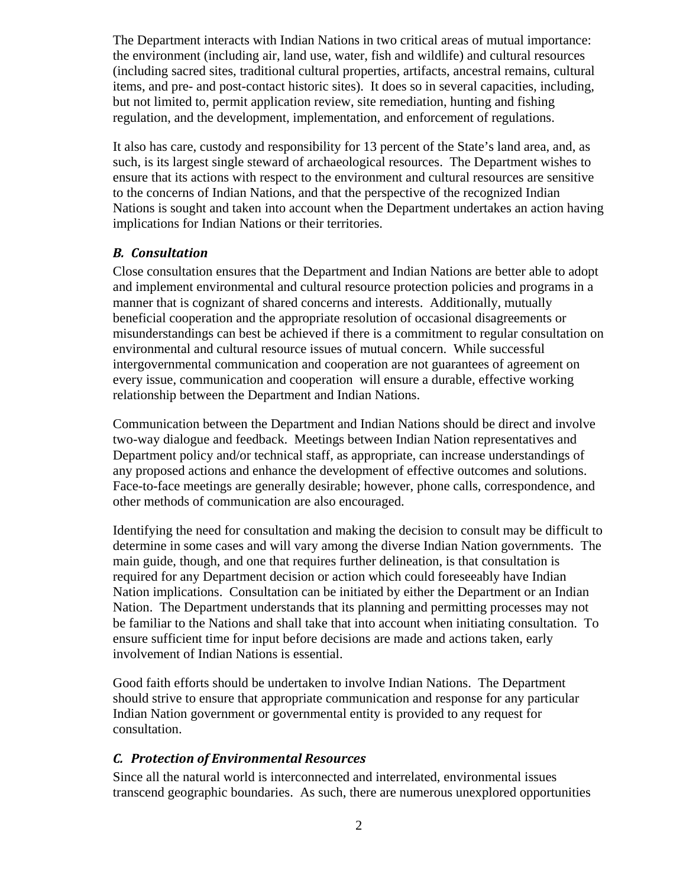The Department interacts with Indian Nations in two critical areas of mutual importance: the environment (including air, land use, water, fish and wildlife) and cultural resources (including sacred sites, traditional cultural properties, artifacts, ancestral remains, cultural items, and pre- and post-contact historic sites). It does so in several capacities, including, but not limited to, permit application review, site remediation, hunting and fishing regulation, and the development, implementation, and enforcement of regulations.

It also has care, custody and responsibility for 13 percent of the State's land area, and, as such, is its largest single steward of archaeological resources. The Department wishes to ensure that its actions with respect to the environment and cultural resources are sensitive to the concerns of Indian Nations, and that the perspective of the recognized Indian Nations is sought and taken into account when the Department undertakes an action having implications for Indian Nations or their territories.

#### *B. Consultation*

Close consultation ensures that the Department and Indian Nations are better able to adopt and implement environmental and cultural resource protection policies and programs in a manner that is cognizant of shared concerns and interests. Additionally, mutually beneficial cooperation and the appropriate resolution of occasional disagreements or misunderstandings can best be achieved if there is a commitment to regular consultation on environmental and cultural resource issues of mutual concern. While successful intergovernmental communication and cooperation are not guarantees of agreement on every issue, communication and cooperation will ensure a durable, effective working relationship between the Department and Indian Nations.

Communication between the Department and Indian Nations should be direct and involve two-way dialogue and feedback. Meetings between Indian Nation representatives and Department policy and/or technical staff, as appropriate, can increase understandings of any proposed actions and enhance the development of effective outcomes and solutions. Face-to-face meetings are generally desirable; however, phone calls, correspondence, and other methods of communication are also encouraged.

Identifying the need for consultation and making the decision to consult may be difficult to determine in some cases and will vary among the diverse Indian Nation governments. The main guide, though, and one that requires further delineation, is that consultation is required for any Department decision or action which could foreseeably have Indian Nation implications. Consultation can be initiated by either the Department or an Indian Nation. The Department understands that its planning and permitting processes may not be familiar to the Nations and shall take that into account when initiating consultation. To ensure sufficient time for input before decisions are made and actions taken, early involvement of Indian Nations is essential.

Good faith efforts should be undertaken to involve Indian Nations. The Department should strive to ensure that appropriate communication and response for any particular Indian Nation government or governmental entity is provided to any request for consultation.

#### *C. Protection of Environmental Resources*

Since all the natural world is interconnected and interrelated, environmental issues transcend geographic boundaries. As such, there are numerous unexplored opportunities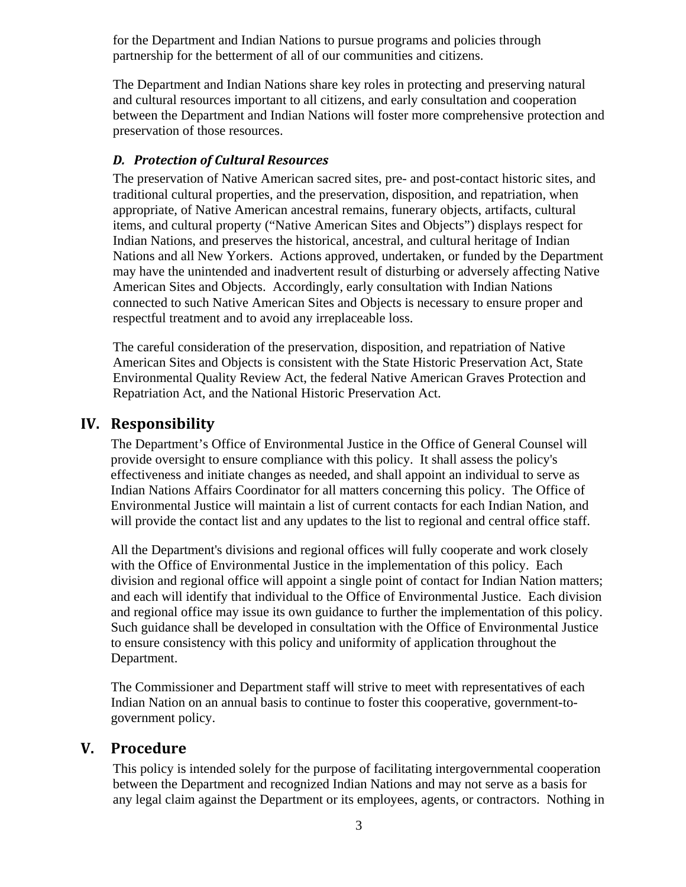for the Department and Indian Nations to pursue programs and policies through partnership for the betterment of all of our communities and citizens.

The Department and Indian Nations share key roles in protecting and preserving natural and cultural resources important to all citizens, and early consultation and cooperation between the Department and Indian Nations will foster more comprehensive protection and preservation of those resources.

#### *D. Protection of Cultural Resources*

The preservation of Native American sacred sites, pre- and post-contact historic sites, and traditional cultural properties, and the preservation, disposition, and repatriation, when appropriate, of Native American ancestral remains, funerary objects, artifacts, cultural items, and cultural property ("Native American Sites and Objects") displays respect for Indian Nations, and preserves the historical, ancestral, and cultural heritage of Indian Nations and all New Yorkers. Actions approved, undertaken, or funded by the Department may have the unintended and inadvertent result of disturbing or adversely affecting Native American Sites and Objects. Accordingly, early consultation with Indian Nations connected to such Native American Sites and Objects is necessary to ensure proper and respectful treatment and to avoid any irreplaceable loss.

The careful consideration of the preservation, disposition, and repatriation of Native American Sites and Objects is consistent with the State Historic Preservation Act, State Environmental Quality Review Act, the federal Native American Graves Protection and Repatriation Act, and the National Historic Preservation Act.

### **IV. Responsibility**

The Department's Office of Environmental Justice in the Office of General Counsel will provide oversight to ensure compliance with this policy. It shall assess the policy's effectiveness and initiate changes as needed, and shall appoint an individual to serve as Indian Nations Affairs Coordinator for all matters concerning this policy. The Office of Environmental Justice will maintain a list of current contacts for each Indian Nation, and will provide the contact list and any updates to the list to regional and central office staff.

All the Department's divisions and regional offices will fully cooperate and work closely with the Office of Environmental Justice in the implementation of this policy. Each division and regional office will appoint a single point of contact for Indian Nation matters; and each will identify that individual to the Office of Environmental Justice. Each division and regional office may issue its own guidance to further the implementation of this policy. Such guidance shall be developed in consultation with the Office of Environmental Justice to ensure consistency with this policy and uniformity of application throughout the Department.

The Commissioner and Department staff will strive to meet with representatives of each Indian Nation on an annual basis to continue to foster this cooperative, government-togovernment policy.

### **V. Procedure**

This policy is intended solely for the purpose of facilitating intergovernmental cooperation between the Department and recognized Indian Nations and may not serve as a basis for any legal claim against the Department or its employees, agents, or contractors. Nothing in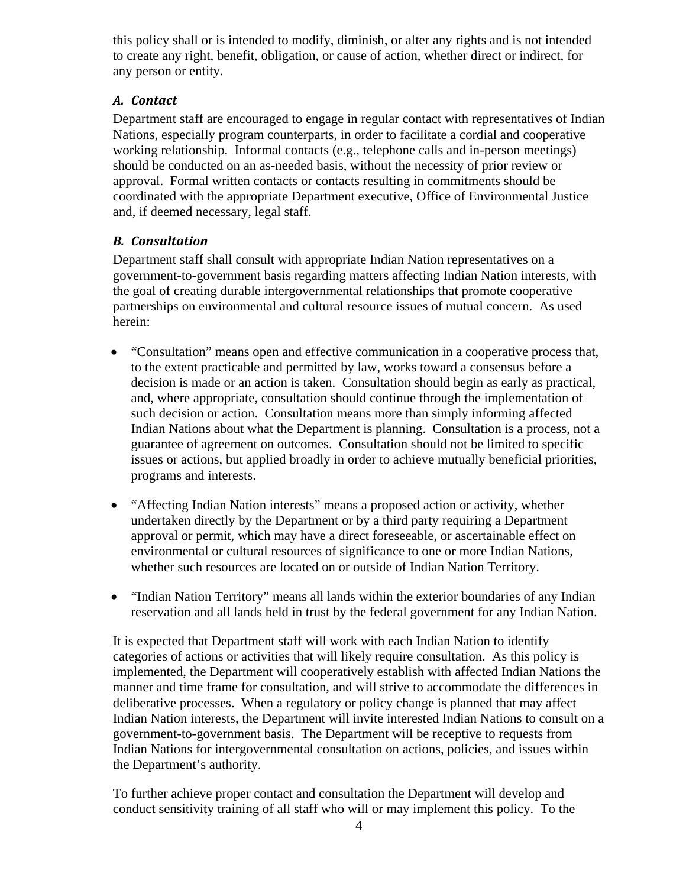this policy shall or is intended to modify, diminish, or alter any rights and is not intended to create any right, benefit, obligation, or cause of action, whether direct or indirect, for any person or entity.

### *A. Contact*

Department staff are encouraged to engage in regular contact with representatives of Indian Nations, especially program counterparts, in order to facilitate a cordial and cooperative working relationship. Informal contacts (e.g., telephone calls and in-person meetings) should be conducted on an as-needed basis, without the necessity of prior review or approval. Formal written contacts or contacts resulting in commitments should be coordinated with the appropriate Department executive, Office of Environmental Justice and, if deemed necessary, legal staff.

### *B. Consultation*

Department staff shall consult with appropriate Indian Nation representatives on a government-to-government basis regarding matters affecting Indian Nation interests, with the goal of creating durable intergovernmental relationships that promote cooperative partnerships on environmental and cultural resource issues of mutual concern. As used herein:

- "Consultation" means open and effective communication in a cooperative process that, to the extent practicable and permitted by law, works toward a consensus before a decision is made or an action is taken. Consultation should begin as early as practical, and, where appropriate, consultation should continue through the implementation of such decision or action. Consultation means more than simply informing affected Indian Nations about what the Department is planning. Consultation is a process, not a guarantee of agreement on outcomes. Consultation should not be limited to specific issues or actions, but applied broadly in order to achieve mutually beneficial priorities, programs and interests.
- "Affecting Indian Nation interests" means a proposed action or activity, whether undertaken directly by the Department or by a third party requiring a Department approval or permit, which may have a direct foreseeable, or ascertainable effect on environmental or cultural resources of significance to one or more Indian Nations, whether such resources are located on or outside of Indian Nation Territory.
- "Indian Nation Territory" means all lands within the exterior boundaries of any Indian reservation and all lands held in trust by the federal government for any Indian Nation.

It is expected that Department staff will work with each Indian Nation to identify categories of actions or activities that will likely require consultation. As this policy is implemented, the Department will cooperatively establish with affected Indian Nations the manner and time frame for consultation, and will strive to accommodate the differences in deliberative processes. When a regulatory or policy change is planned that may affect Indian Nation interests, the Department will invite interested Indian Nations to consult on a government-to-government basis. The Department will be receptive to requests from Indian Nations for intergovernmental consultation on actions, policies, and issues within the Department's authority.

To further achieve proper contact and consultation the Department will develop and conduct sensitivity training of all staff who will or may implement this policy. To the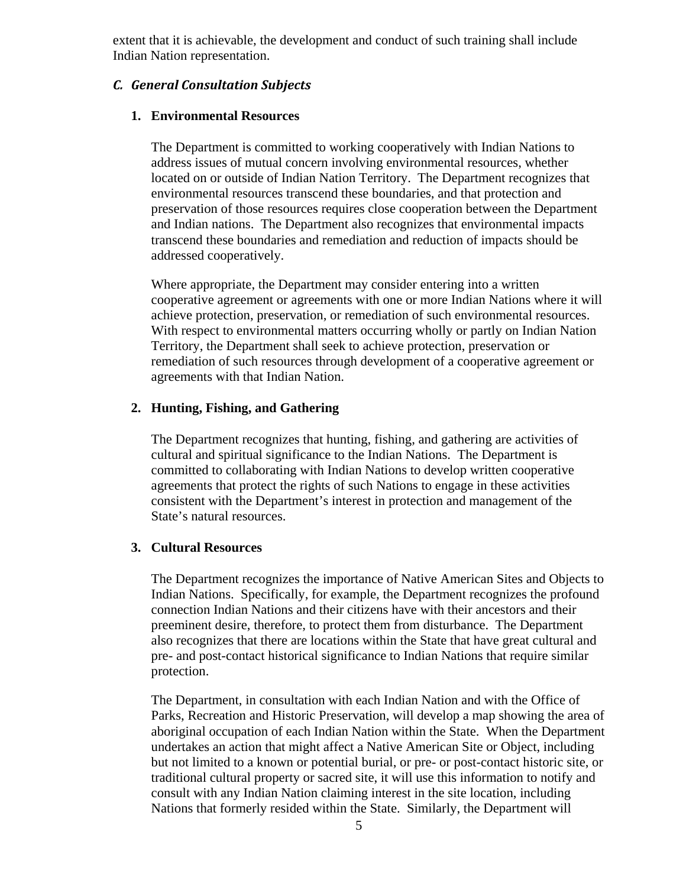extent that it is achievable, the development and conduct of such training shall include Indian Nation representation.

#### *C. General Consultation Subjects*

#### **1. Environmental Resources**

The Department is committed to working cooperatively with Indian Nations to address issues of mutual concern involving environmental resources, whether located on or outside of Indian Nation Territory. The Department recognizes that environmental resources transcend these boundaries, and that protection and preservation of those resources requires close cooperation between the Department and Indian nations. The Department also recognizes that environmental impacts transcend these boundaries and remediation and reduction of impacts should be addressed cooperatively.

Where appropriate, the Department may consider entering into a written cooperative agreement or agreements with one or more Indian Nations where it will achieve protection, preservation, or remediation of such environmental resources. With respect to environmental matters occurring wholly or partly on Indian Nation Territory, the Department shall seek to achieve protection, preservation or remediation of such resources through development of a cooperative agreement or agreements with that Indian Nation.

#### **2. Hunting, Fishing, and Gathering**

The Department recognizes that hunting, fishing, and gathering are activities of cultural and spiritual significance to the Indian Nations. The Department is committed to collaborating with Indian Nations to develop written cooperative agreements that protect the rights of such Nations to engage in these activities consistent with the Department's interest in protection and management of the State's natural resources.

#### **3. Cultural Resources**

The Department recognizes the importance of Native American Sites and Objects to Indian Nations. Specifically, for example, the Department recognizes the profound connection Indian Nations and their citizens have with their ancestors and their preeminent desire, therefore, to protect them from disturbance. The Department also recognizes that there are locations within the State that have great cultural and pre- and post-contact historical significance to Indian Nations that require similar protection.

The Department, in consultation with each Indian Nation and with the Office of Parks, Recreation and Historic Preservation, will develop a map showing the area of aboriginal occupation of each Indian Nation within the State. When the Department undertakes an action that might affect a Native American Site or Object, including but not limited to a known or potential burial, or pre- or post-contact historic site, or traditional cultural property or sacred site, it will use this information to notify and consult with any Indian Nation claiming interest in the site location, including Nations that formerly resided within the State. Similarly, the Department will